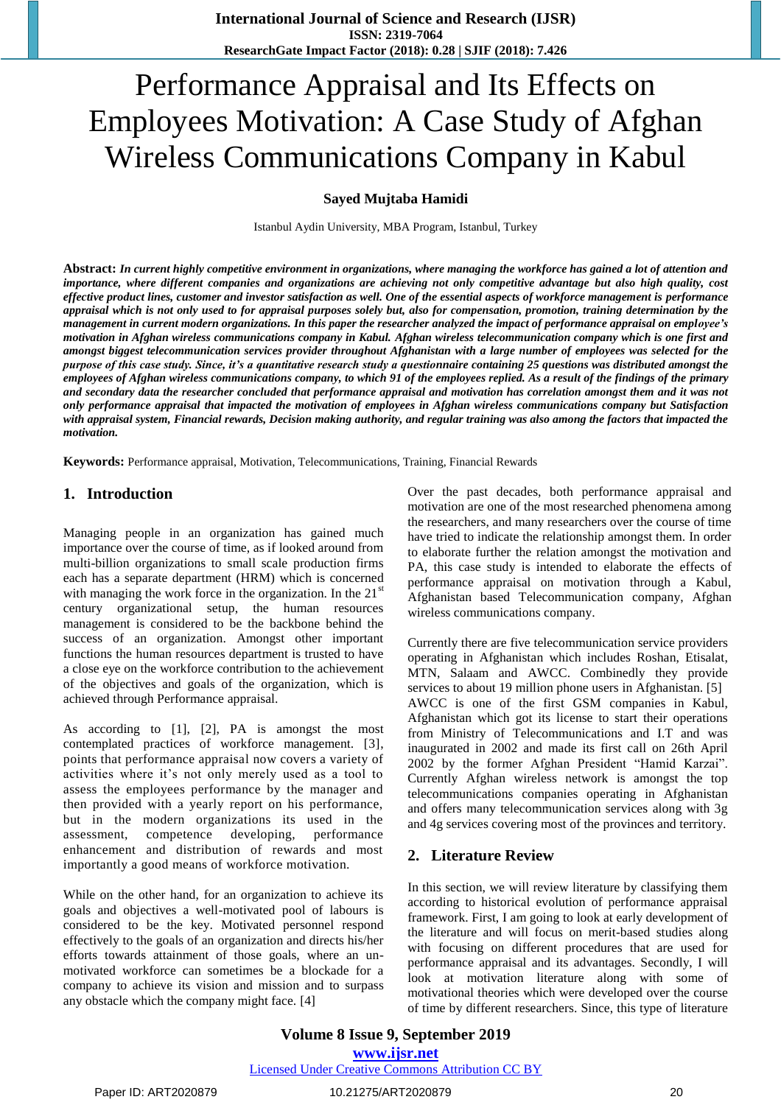# Performance Appraisal and Its Effects on Employees Motivation: A Case Study of Afghan Wireless Communications Company in Kabul

# **Sayed Mujtaba Hamidi**

Istanbul Aydin University, MBA Program, Istanbul, Turkey

**Abstract:** *In current highly competitive environment in organizations, where managing the workforce has gained a lot of attention and importance, where different companies and organizations are achieving not only competitive advantage but also high quality, cost effective product lines, customer and investor satisfaction as well. One of the essential aspects of workforce management is performance appraisal which is not only used to for appraisal purposes solely but, also for compensation, promotion, training determination by the management in current modern organizations. In this paper the researcher analyzed the impact of performance appraisal on employee's motivation in Afghan wireless communications company in Kabul. Afghan wireless telecommunication company which is one first and amongst biggest telecommunication services provider throughout Afghanistan with a large number of employees was selected for the purpose of this case study. Since, it's a quantitative research study a questionnaire containing 25 questions was distributed amongst the employees of Afghan wireless communications company, to which 91 of the employees replied. As a result of the findings of the primary and secondary data the researcher concluded that performance appraisal and motivation has correlation amongst them and it was not only performance appraisal that impacted the motivation of employees in Afghan wireless communications company but Satisfaction with appraisal system, Financial rewards, Decision making authority, and regular training was also among the factors that impacted the motivation.*

**Keywords:** Performance appraisal, Motivation, Telecommunications, Training, Financial Rewards

# **1. Introduction**

Managing people in an organization has gained much importance over the course of time, as if looked around from multi-billion organizations to small scale production firms each has a separate department (HRM) which is concerned with managing the work force in the organization. In the  $21<sup>st</sup>$ century organizational setup, the human resources management is considered to be the backbone behind the success of an organization. Amongst other important functions the human resources department is trusted to have a close eye on the workforce contribution to the achievement of the objectives and goals of the organization, which is achieved through Performance appraisal.

As according to [1], [2], PA is amongst the most contemplated practices of workforce management. [3], points that performance appraisal now covers a variety of activities where it's not only merely used as a tool to assess the employees performance by the manager and then provided with a yearly report on his performance, but in the modern organizations its used in the assessment, competence developing, performance enhancement and distribution of rewards and most importantly a good means of workforce motivation.

While on the other hand, for an organization to achieve its goals and objectives a well-motivated pool of labours is considered to be the key. Motivated personnel respond effectively to the goals of an organization and directs his/her efforts towards attainment of those goals, where an unmotivated workforce can sometimes be a blockade for a company to achieve its vision and mission and to surpass any obstacle which the company might face. [4]

Over the past decades, both performance appraisal and motivation are one of the most researched phenomena among the researchers, and many researchers over the course of time have tried to indicate the relationship amongst them. In order to elaborate further the relation amongst the motivation and PA, this case study is intended to elaborate the effects of performance appraisal on motivation through a Kabul, Afghanistan based Telecommunication company, Afghan wireless communications company.

Currently there are five telecommunication service providers operating in Afghanistan which includes Roshan, Etisalat, MTN, Salaam and AWCC. Combinedly they provide services to about 19 million phone users in Afghanistan. [5] AWCC is one of the first GSM companies in Kabul, Afghanistan which got its license to start their operations from Ministry of Telecommunications and I.T and was inaugurated in 2002 and made its first call on 26th April 2002 by the former Afghan President "Hamid Karzai". Currently Afghan wireless network is amongst the top telecommunications companies operating in Afghanistan and offers many telecommunication services along with 3g and 4g services covering most of the provinces and territory.

## **2. Literature Review**

In this section, we will review literature by classifying them according to historical evolution of performance appraisal framework. First, I am going to look at early development of the literature and will focus on merit-based studies along with focusing on different procedures that are used for performance appraisal and its advantages. Secondly, I will look at motivation literature along with some of motivational theories which were developed over the course of time by different researchers. Since, this type of literature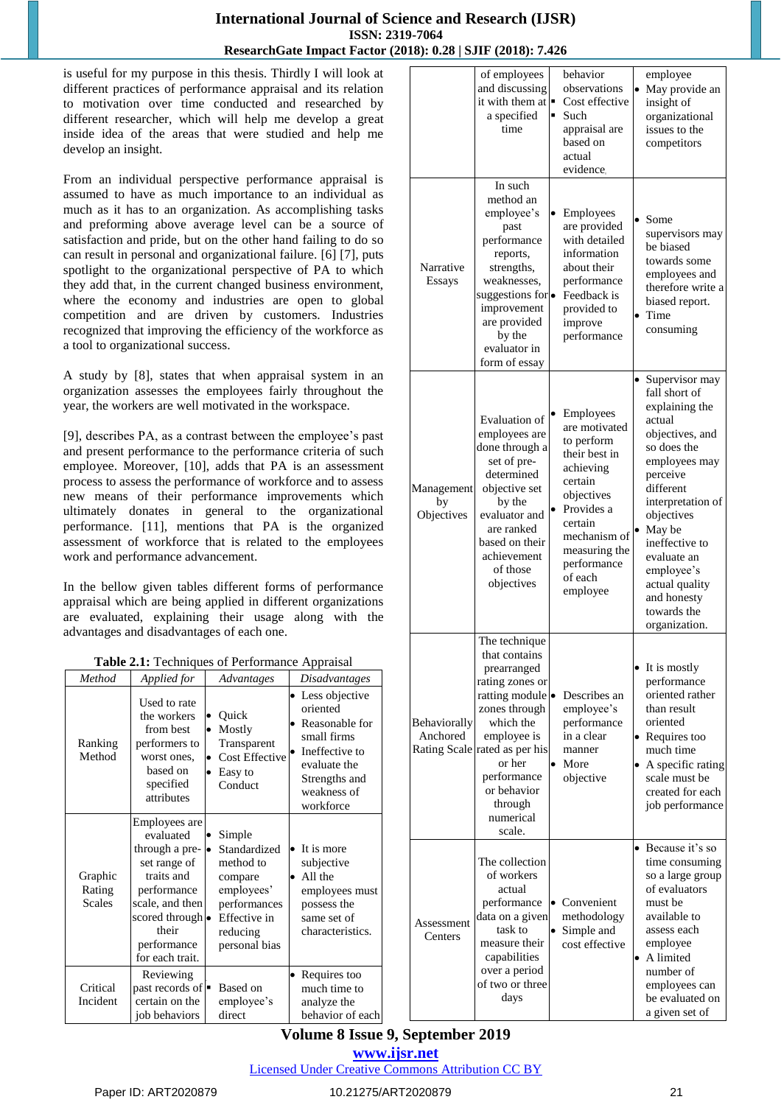is useful for my purpose in this thesis. Thirdly I will look at different practices of performance appraisal and its relation to motivation over time conducted and researched by different researcher, which will help me develop a great inside idea of the areas that were studied and help me develop an insight.

From an individual perspective performance appraisal is assumed to have as much importance to an individual as much as it has to an organization. As accomplishing tasks and preforming above average level can be a source of satisfaction and pride, but on the other hand failing to do so can result in personal and organizational failure. [6] [7], puts spotlight to the organizational perspective of PA to which they add that, in the current changed business environment, where the economy and industries are open to global competition and are driven by customers. Industries recognized that improving the efficiency of the workforce as a tool to organizational success.

A study by [8], states that when appraisal system in an organization assesses the employees fairly throughout the year, the workers are well motivated in the workspace.

[9], describes PA, as a contrast between the employee's past and present performance to the performance criteria of such employee. Moreover, [10], adds that PA is an assessment process to assess the performance of workforce and to assess new means of their performance improvements which ultimately donates in general to the organizational performance. [11], mentions that PA is the organized assessment of workforce that is related to the employees work and performance advancement.

In the bellow given tables different forms of performance appraisal which are being applied in different organizations are evaluated, explaining their usage along with the advantages and disadvantages of each one.

|  |  |  | Table 2.1: Techniques of Performance Appraisal |  |
|--|--|--|------------------------------------------------|--|
|--|--|--|------------------------------------------------|--|

| Method                             | Applied for                                                                                                                                                                           | Advantages                                                                                                                       | <i>Disadvantages</i>                                                                                                                         |
|------------------------------------|---------------------------------------------------------------------------------------------------------------------------------------------------------------------------------------|----------------------------------------------------------------------------------------------------------------------------------|----------------------------------------------------------------------------------------------------------------------------------------------|
| Ranking<br>Method                  | Used to rate<br>the workers<br>from best<br>performers to<br>worst ones,<br>based on<br>specified<br>attributes                                                                       | Quick<br>Mostly<br>$\bullet$<br>Transparent<br><b>Cost Effective</b><br>$\bullet$<br>Easy to<br>$\bullet$<br>Conduct             | • Less objective<br>oriented<br>Reasonable for<br>small firms<br>Ineffective to<br>evaluate the<br>Strengths and<br>weakness of<br>workforce |
| Graphic<br>Rating<br><b>Scales</b> | Employees are<br>evaluated<br>through a pre- $\bullet$<br>set range of<br>traits and<br>performance<br>scale, and then<br>scored through •<br>their<br>performance<br>for each trait. | Simple<br>Standardized<br>method to<br>compare<br>employees'<br>performances<br><b>Effective</b> in<br>reducing<br>personal bias | It is more<br>$\bullet$<br>subjective<br>All the<br>$\bullet$<br>employees must<br>possess the<br>same set of<br>characteristics.            |
| Critical<br>Incident               | Reviewing<br>past records of $\blacksquare$<br>certain on the<br>job behaviors                                                                                                        | Based on<br>employee's<br>direct                                                                                                 | Requires too<br>much time to<br>analyze the<br>behavior of each                                                                              |

|                                 | of employees<br>and discussing<br>it with them at $\blacksquare$<br>a specified<br>time                                                                                                                                                    |           | behavior<br>observations<br>Cost effective<br>Such<br>appraisal are<br>based on<br>actual<br>evidence.                                                                                          | $\bullet$              | employee<br>May provide an<br>insight of<br>organizational<br>issues to the<br>competitors                                                                                                                                                                                                             |
|---------------------------------|--------------------------------------------------------------------------------------------------------------------------------------------------------------------------------------------------------------------------------------------|-----------|-------------------------------------------------------------------------------------------------------------------------------------------------------------------------------------------------|------------------------|--------------------------------------------------------------------------------------------------------------------------------------------------------------------------------------------------------------------------------------------------------------------------------------------------------|
| Narrative<br>Essays             | In such<br>method an<br>employee's<br>past<br>performance<br>reports,<br>strengths,<br>weaknesses,<br>suggestions for<br>improvement<br>are provided<br>by the<br>evaluator in<br>form of essay                                            | $\bullet$ | Employees<br>are provided<br>with detailed<br>information<br>about their<br>performance<br>Feedback is<br>provided to<br>improve<br>performance                                                 | $\bullet$<br>$\bullet$ | Some<br>supervisors may<br>be biased<br>towards some<br>employees and<br>therefore write a<br>biased report.<br>Time<br>consuming                                                                                                                                                                      |
| Management<br>by<br>Objectives  | Evaluation of<br>employees are<br>done through a<br>set of pre-<br>determined<br>objective set<br>by the<br>evaluator and<br>are ranked<br>based on their<br>achievement<br>of those<br>objectives                                         |           | Employees<br>are motivated<br>to perform<br>their best in<br>achieving<br>certain<br>objectives<br>Provides a<br>certain<br>mechanism of<br>measuring the<br>performance<br>of each<br>employee |                        | • Supervisor may<br>fall short of<br>explaining the<br>actual<br>objectives, and<br>so does the<br>employees may<br>perceive<br>different<br>interpretation of<br>objectives<br>May be<br>ineffective to<br>evaluate an<br>employee's<br>actual quality<br>and honesty<br>towards the<br>organization. |
| <b>Behaviorally</b><br>Anchored | The technique<br>that contains<br>prearranged<br>rating zones or<br>ratting module<br>zones through<br>which the<br>employee is<br>Rating Scale rated as per his<br>or her<br>performance<br>or behavior<br>through<br>numerical<br>scale. | $\bullet$ | Describes an<br>employee's<br>performance<br>in a clear<br>manner<br>More<br>objective                                                                                                          |                        | • It is mostly<br>performance<br>oriented rather<br>than result<br>oriented<br>• Requires too<br>much time<br>A specific rating<br>scale must be<br>created for each<br>job performance                                                                                                                |
| Assessment<br>Centers           | The collection<br>of workers<br>actual<br>performance<br>data on a given<br>task to<br>measure their<br>capabilities<br>over a period<br>of two or three<br>days                                                                           |           | Convenient<br>methodology<br>Simple and<br>cost effective                                                                                                                                       |                        | • Because it's so<br>time consuming<br>so a large group<br>of evaluators<br>must be<br>available to<br>assess each<br>employee<br>A limited<br>number of<br>employees can<br>be evaluated on<br>a given set of                                                                                         |

# **Volume 8 Issue 9, September 2019 www.ijsr.net**

Licensed Under Creative Commons Attribution CC BY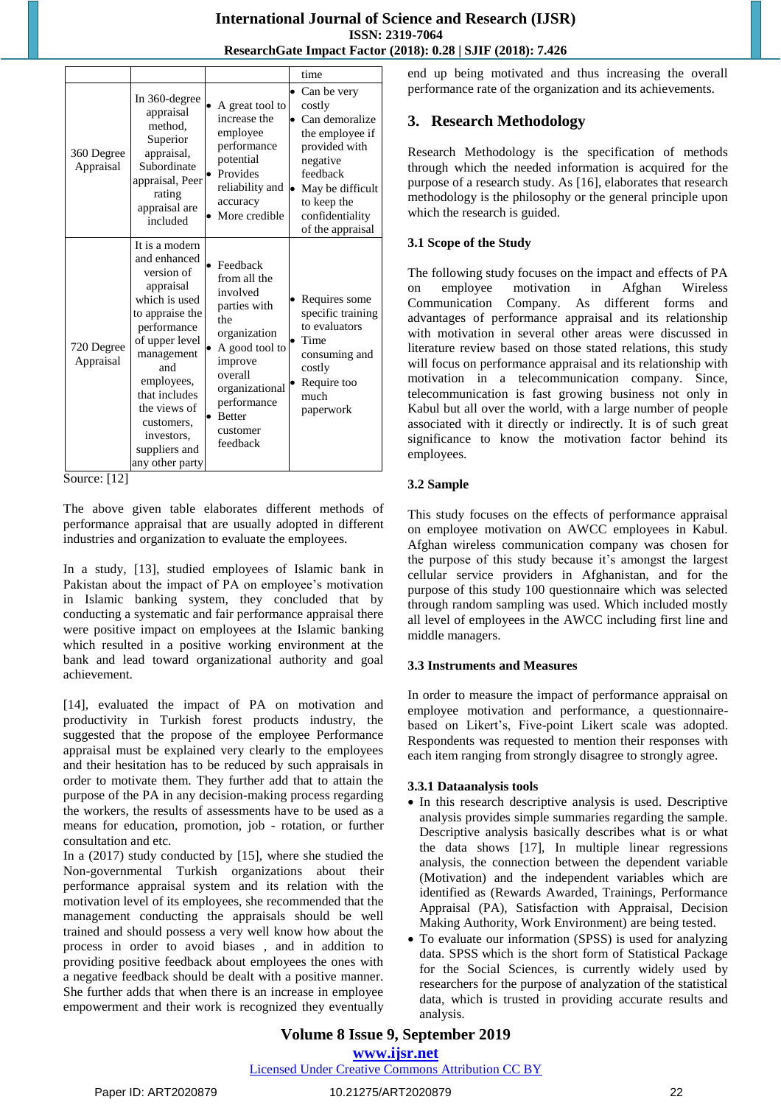|                         |                                                                                                                                                                                                                                                                    |                                                                                                                                                                                                            | time                                                                                                                                                                            |
|-------------------------|--------------------------------------------------------------------------------------------------------------------------------------------------------------------------------------------------------------------------------------------------------------------|------------------------------------------------------------------------------------------------------------------------------------------------------------------------------------------------------------|---------------------------------------------------------------------------------------------------------------------------------------------------------------------------------|
| 360 Degree<br>Appraisal | In 360-degree<br>appraisal<br>method.<br>Superior<br>appraisal,<br>Subordinate<br>appraisal, Peer<br>rating<br>appraisal are<br>included                                                                                                                           | A great tool to<br>increase the<br>employee<br>performance<br>potential<br>Provides<br>reliability and<br>accuracy<br>More credible                                                                        | • Can be very<br>costly<br>Can demoralize<br>the employee if<br>provided with<br>negative<br>feedback<br>May be difficult<br>to keep the<br>confidentiality<br>of the appraisal |
| 720 Degree<br>Appraisal | It is a modern<br>and enhanced<br>version of<br>appraisal<br>which is used<br>to appraise the<br>performance<br>of upper level<br>management<br>and<br>employees,<br>that includes<br>the views of<br>customers,<br>investors.<br>suppliers and<br>any other party | Feedback<br>$\bullet$<br>from all the<br>involved<br>parties with<br>the<br>organization<br>A good tool to<br>improve<br>overall<br>organizational<br>performance<br><b>Better</b><br>customer<br>feedback | Requires some<br>specific training<br>to evaluators<br>Time<br>consuming and<br>costly<br>Require too<br>much<br>paperwork                                                      |

Source: [12]

The above given table elaborates different methods of performance appraisal that are usually adopted in different industries and organization to evaluate the employees.

In a study, [13], studied employees of Islamic bank in Pakistan about the impact of PA on employee's motivation in Islamic banking system, they concluded that by conducting a systematic and fair performance appraisal there were positive impact on employees at the Islamic banking which resulted in a positive working environment at the bank and lead toward organizational authority and goal achievement.

[14], evaluated the impact of PA on motivation and productivity in Turkish forest products industry, the suggested that the propose of the employee Performance appraisal must be explained very clearly to the employees and their hesitation has to be reduced by such appraisals in order to motivate them. They further add that to attain the purpose of the PA in any decision-making process regarding the workers, the results of assessments have to be used as a means for education, promotion, job - rotation, or further consultation and etc.

In a (2017) study conducted by [15], where she studied the Non-governmental Turkish organizations about their performance appraisal system and its relation with the motivation level of its employees, she recommended that the management conducting the appraisals should be well trained and should possess a very well know how about the process in order to avoid biases , and in addition to providing positive feedback about employees the ones with a negative feedback should be dealt with a positive manner. She further adds that when there is an increase in employee empowerment and their work is recognized they eventually end up being motivated and thus increasing the overall performance rate of the organization and its achievements.

# **3. Research Methodology**

Research Methodology is the specification of methods through which the needed information is acquired for the purpose of a research study. As [16], elaborates that research methodology is the philosophy or the general principle upon which the research is guided.

# **3.1 Scope of the Study**

The following study focuses on the impact and effects of PA on employee motivation in Afghan Wireless Communication Company. As different forms and advantages of performance appraisal and its relationship with motivation in several other areas were discussed in literature review based on those stated relations, this study will focus on performance appraisal and its relationship with motivation in a telecommunication company. Since, telecommunication is fast growing business not only in Kabul but all over the world, with a large number of people associated with it directly or indirectly. It is of such great significance to know the motivation factor behind its employees.

## **3.2 Sample**

This study focuses on the effects of performance appraisal on employee motivation on AWCC employees in Kabul. Afghan wireless communication company was chosen for the purpose of this study because it's amongst the largest cellular service providers in Afghanistan, and for the purpose of this study 100 questionnaire which was selected through random sampling was used. Which included mostly all level of employees in the AWCC including first line and middle managers.

## **3.3 Instruments and Measures**

In order to measure the impact of performance appraisal on employee motivation and performance, a questionnairebased on Likert's, Five-point Likert scale was adopted. Respondents was requested to mention their responses with each item ranging from strongly disagree to strongly agree.

## **3.3.1 Dataanalysis tools**

- In this research descriptive analysis is used. Descriptive analysis provides simple summaries regarding the sample. Descriptive analysis basically describes what is or what the data shows [17], In multiple linear regressions analysis, the connection between the dependent variable (Motivation) and the independent variables which are identified as (Rewards Awarded, Trainings, Performance Appraisal (PA), Satisfaction with Appraisal, Decision Making Authority, Work Environment) are being tested.
- To evaluate our information (SPSS) is used for analyzing data. SPSS which is the short form of Statistical Package for the Social Sciences, is currently widely used by researchers for the purpose of analyzation of the statistical data, which is trusted in providing accurate results and analysis.

# **Volume 8 Issue 9, September 2019 www.ijsr.net**

Licensed Under Creative Commons Attribution CC BY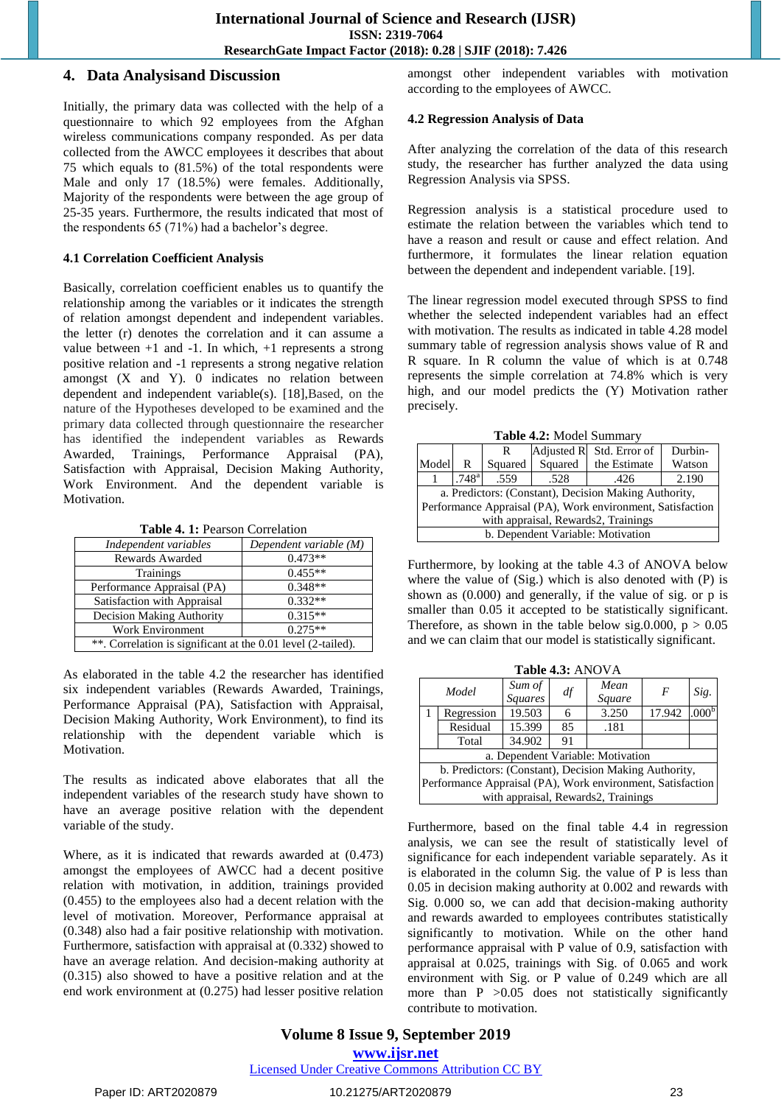#### **4. Data Analysisand Discussion**

Initially, the primary data was collected with the help of a questionnaire to which 92 employees from the Afghan wireless communications company responded. As per data collected from the AWCC employees it describes that about 75 which equals to (81.5%) of the total respondents were Male and only 17 (18.5%) were females. Additionally, Majority of the respondents were between the age group of 25-35 years. Furthermore, the results indicated that most of the respondents 65 (71%) had a bachelor's degree.

#### **4.1 Correlation Coefficient Analysis**

Basically, correlation coefficient enables us to quantify the relationship among the variables or it indicates the strength of relation amongst dependent and independent variables. the letter (r) denotes the correlation and it can assume a value between  $+1$  and  $-1$ . In which,  $+1$  represents a strong positive relation and -1 represents a strong negative relation amongst (X and Y). 0 indicates no relation between dependent and independent variable(s). [18],Based, on the nature of the Hypotheses developed to be examined and the primary data collected through questionnaire the researcher has identified the independent variables as Rewards Awarded, Trainings, Performance Appraisal (PA), Satisfaction with Appraisal, Decision Making Authority, Work Environment. And the dependent variable is Motivation.

**Table 4. 1:** Pearson Correlation

| Independent variables                                        | Dependent variable $(M)$ |  |  |  |
|--------------------------------------------------------------|--------------------------|--|--|--|
| Rewards Awarded                                              | $0.473**$                |  |  |  |
| Trainings                                                    | $0.455**$                |  |  |  |
| Performance Appraisal (PA)                                   | $0.348**$                |  |  |  |
| Satisfaction with Appraisal                                  | $0.332**$                |  |  |  |
| <b>Decision Making Authority</b>                             | $0.315**$                |  |  |  |
| <b>Work Environment</b>                                      | $0.275**$                |  |  |  |
| **. Correlation is significant at the 0.01 level (2-tailed). |                          |  |  |  |

As elaborated in the table 4.2 the researcher has identified six independent variables (Rewards Awarded, Trainings, Performance Appraisal (PA), Satisfaction with Appraisal, Decision Making Authority, Work Environment), to find its relationship with the dependent variable which is Motivation.

The results as indicated above elaborates that all the independent variables of the research study have shown to have an average positive relation with the dependent variable of the study.

Where, as it is indicated that rewards awarded at (0.473) amongst the employees of AWCC had a decent positive relation with motivation, in addition, trainings provided (0.455) to the employees also had a decent relation with the level of motivation. Moreover, Performance appraisal at (0.348) also had a fair positive relationship with motivation. Furthermore, satisfaction with appraisal at (0.332) showed to have an average relation. And decision-making authority at (0.315) also showed to have a positive relation and at the end work environment at (0.275) had lesser positive relation amongst other independent variables with motivation according to the employees of AWCC.

#### **4.2 Regression Analysis of Data**

After analyzing the correlation of the data of this research study, the researcher has further analyzed the data using Regression Analysis via SPSS.

Regression analysis is a statistical procedure used to estimate the relation between the variables which tend to have a reason and result or cause and effect relation. And furthermore, it formulates the linear relation equation between the dependent and independent variable. [19].

The linear regression model executed through SPSS to find whether the selected independent variables had an effect with motivation. The results as indicated in table 4.28 model summary table of regression analysis shows value of R and R square. In R column the value of which is at 0.748 represents the simple correlation at 74.8% which is very high, and our model predicts the (Y) Motivation rather precisely.

**Table 4.2:** Model Summary

|                                                            | Adjusted R Std. Error of<br>Durbin-                |         |         |              |        |  |  |  |
|------------------------------------------------------------|----------------------------------------------------|---------|---------|--------------|--------|--|--|--|
| Model                                                      | R                                                  | Squared | Squared | the Estimate | Watson |  |  |  |
|                                                            | .748 <sup>a</sup><br>.559<br>2.190<br>.528<br>.426 |         |         |              |        |  |  |  |
| a. Predictors: (Constant), Decision Making Authority,      |                                                    |         |         |              |        |  |  |  |
| Performance Appraisal (PA), Work environment, Satisfaction |                                                    |         |         |              |        |  |  |  |
| with appraisal, Rewards 2, Trainings                       |                                                    |         |         |              |        |  |  |  |
| b. Dependent Variable: Motivation                          |                                                    |         |         |              |        |  |  |  |

Furthermore, by looking at the table 4.3 of ANOVA below where the value of (Sig.) which is also denoted with (P) is shown as (0.000) and generally, if the value of sig. or p is smaller than 0.05 it accepted to be statistically significant. Therefore, as shown in the table below sig.0.000,  $p > 0.05$ and we can claim that our model is statistically significant.

|                                                            | Table 4.3: ANOVA                    |                |    |        |                  |                   |  |  |
|------------------------------------------------------------|-------------------------------------|----------------|----|--------|------------------|-------------------|--|--|
|                                                            | Model                               | Sum of         | df | Mean   | $\boldsymbol{F}$ | Sig.              |  |  |
|                                                            |                                     | <b>Squares</b> |    | Square |                  |                   |  |  |
|                                                            | Regression                          | 19.503         | 6  | 3.250  | 17.942           | .000 <sub>p</sub> |  |  |
|                                                            | Residual                            | 15.399         | 85 | .181   |                  |                   |  |  |
|                                                            | Total                               | 34.902         | 91 |        |                  |                   |  |  |
|                                                            | a. Dependent Variable: Motivation   |                |    |        |                  |                   |  |  |
| b. Predictors: (Constant), Decision Making Authority,      |                                     |                |    |        |                  |                   |  |  |
| Performance Appraisal (PA), Work environment, Satisfaction |                                     |                |    |        |                  |                   |  |  |
|                                                            | with appraisal, Rewards2, Trainings |                |    |        |                  |                   |  |  |

Furthermore, based on the final table 4.4 in regression analysis, we can see the result of statistically level of significance for each independent variable separately. As it is elaborated in the column Sig. the value of P is less than 0.05 in decision making authority at 0.002 and rewards with Sig. 0.000 so, we can add that decision-making authority and rewards awarded to employees contributes statistically significantly to motivation. While on the other hand performance appraisal with P value of 0.9, satisfaction with appraisal at 0.025, trainings with Sig. of 0.065 and work environment with Sig. or P value of 0.249 which are all more than  $P > 0.05$  does not statistically significantly contribute to motivation.

**Volume 8 Issue 9, September 2019 www.ijsr.net** Licensed Under Creative Commons Attribution CC BY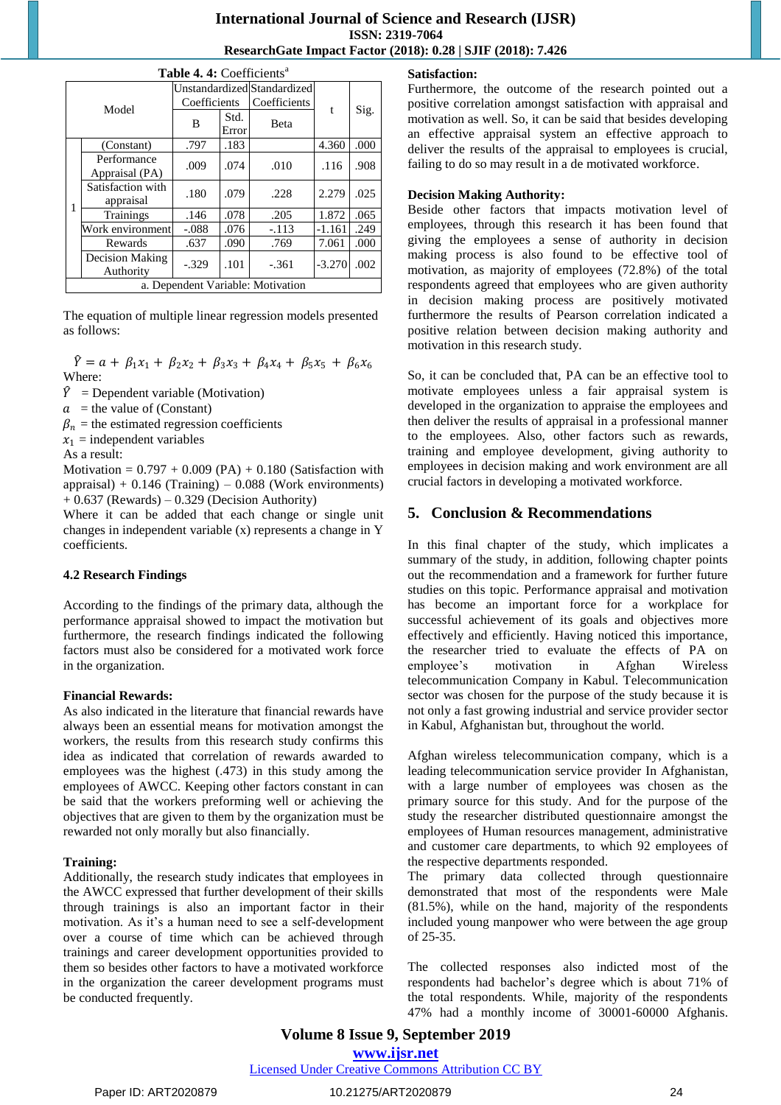|   | Table 4. 4: Coefficients <sup>a</sup> |                                                                                                                                                                                                                                                                                                                                   |      |              |  |      |  |  |  |  |
|---|---------------------------------------|-----------------------------------------------------------------------------------------------------------------------------------------------------------------------------------------------------------------------------------------------------------------------------------------------------------------------------------|------|--------------|--|------|--|--|--|--|
|   |                                       | Coefficients                                                                                                                                                                                                                                                                                                                      |      | Coefficients |  |      |  |  |  |  |
|   | Model                                 | Unstandardized Standardized<br>$\mathbf{f}$<br>Std.<br>B<br><b>B</b> eta<br>Error<br>4.360<br>.183<br>.797<br>.074<br>.010<br>.116<br>.009<br>.079<br>.180<br>2.279<br>.228<br>1.872<br>.078<br>.146<br>.205<br>$-1.161$<br>.076<br>$-.113$<br>$-.088$<br>7.061<br>.637<br>.090<br>.769<br>.101<br>$-3.270$<br>$-.329$<br>$-.361$ | Sig. |              |  |      |  |  |  |  |
|   | (Constant)                            |                                                                                                                                                                                                                                                                                                                                   |      |              |  | .000 |  |  |  |  |
|   | Performance<br>Appraisal (PA)         |                                                                                                                                                                                                                                                                                                                                   |      |              |  | .908 |  |  |  |  |
| 1 | Satisfaction with<br>appraisal        |                                                                                                                                                                                                                                                                                                                                   |      |              |  | .025 |  |  |  |  |
|   | Trainings                             |                                                                                                                                                                                                                                                                                                                                   |      |              |  | .065 |  |  |  |  |
|   | Work environment                      |                                                                                                                                                                                                                                                                                                                                   |      |              |  | .249 |  |  |  |  |
|   | Rewards                               |                                                                                                                                                                                                                                                                                                                                   |      |              |  | .000 |  |  |  |  |
|   | Decision Making<br>Authority          |                                                                                                                                                                                                                                                                                                                                   |      |              |  | .002 |  |  |  |  |
|   | a. Dependent Variable: Motivation     |                                                                                                                                                                                                                                                                                                                                   |      |              |  |      |  |  |  |  |

The equation of multiple linear regression models presented as follows:

 $\hat{Y} = a + \beta_1 x_1 + \beta_2 x_2 + \beta_3 x_3 + \beta_4 x_4 + \beta_5 x_5 + \beta_6 x_6$ Where:

 $\hat{Y}$  = Dependent variable (Motivation)

 $a =$  the value of (Constant)

 $\beta_n$  = the estimated regression coefficients

 $x_1$  = independent variables

As a result:

Motivation =  $0.797 + 0.009$  (PA) +  $0.180$  (Satisfaction with appraisal) + 0.146 (Training) – 0.088 (Work environments)  $+ 0.637$  (Rewards) – 0.329 (Decision Authority)

Where it can be added that each change or single unit changes in independent variable (x) represents a change in Y coefficients.

#### **4.2 Research Findings**

According to the findings of the primary data, although the performance appraisal showed to impact the motivation but furthermore, the research findings indicated the following factors must also be considered for a motivated work force in the organization.

#### **Financial Rewards:**

As also indicated in the literature that financial rewards have always been an essential means for motivation amongst the workers, the results from this research study confirms this idea as indicated that correlation of rewards awarded to employees was the highest (.473) in this study among the employees of AWCC. Keeping other factors constant in can be said that the workers preforming well or achieving the objectives that are given to them by the organization must be rewarded not only morally but also financially.

#### **Training:**

Additionally, the research study indicates that employees in the AWCC expressed that further development of their skills through trainings is also an important factor in their motivation. As it's a human need to see a self-development over a course of time which can be achieved through trainings and career development opportunities provided to them so besides other factors to have a motivated workforce in the organization the career development programs must be conducted frequently.

#### **Satisfaction:**

Furthermore, the outcome of the research pointed out a positive correlation amongst satisfaction with appraisal and motivation as well. So, it can be said that besides developing an effective appraisal system an effective approach to deliver the results of the appraisal to employees is crucial, failing to do so may result in a de motivated workforce.

#### **Decision Making Authority:**

Beside other factors that impacts motivation level of employees, through this research it has been found that giving the employees a sense of authority in decision making process is also found to be effective tool of motivation, as majority of employees (72.8%) of the total respondents agreed that employees who are given authority in decision making process are positively motivated furthermore the results of Pearson correlation indicated a positive relation between decision making authority and motivation in this research study.

So, it can be concluded that, PA can be an effective tool to motivate employees unless a fair appraisal system is developed in the organization to appraise the employees and then deliver the results of appraisal in a professional manner to the employees. Also, other factors such as rewards, training and employee development, giving authority to employees in decision making and work environment are all crucial factors in developing a motivated workforce.

# **5. Conclusion & Recommendations**

In this final chapter of the study, which implicates a summary of the study, in addition, following chapter points out the recommendation and a framework for further future studies on this topic. Performance appraisal and motivation has become an important force for a workplace for successful achievement of its goals and objectives more effectively and efficiently. Having noticed this importance, the researcher tried to evaluate the effects of PA on employee's motivation in Afghan Wireless telecommunication Company in Kabul. Telecommunication sector was chosen for the purpose of the study because it is not only a fast growing industrial and service provider sector in Kabul, Afghanistan but, throughout the world.

Afghan wireless telecommunication company, which is a leading telecommunication service provider In Afghanistan, with a large number of employees was chosen as the primary source for this study. And for the purpose of the study the researcher distributed questionnaire amongst the employees of Human resources management, administrative and customer care departments, to which 92 employees of the respective departments responded.

The primary data collected through questionnaire demonstrated that most of the respondents were Male (81.5%), while on the hand, majority of the respondents included young manpower who were between the age group of 25-35.

The collected responses also indicted most of the respondents had bachelor's degree which is about 71% of the total respondents. While, majority of the respondents 47% had a monthly income of 30001-60000 Afghanis.

**Volume 8 Issue 9, September 2019 www.ijsr.net** Licensed Under Creative Commons Attribution CC BY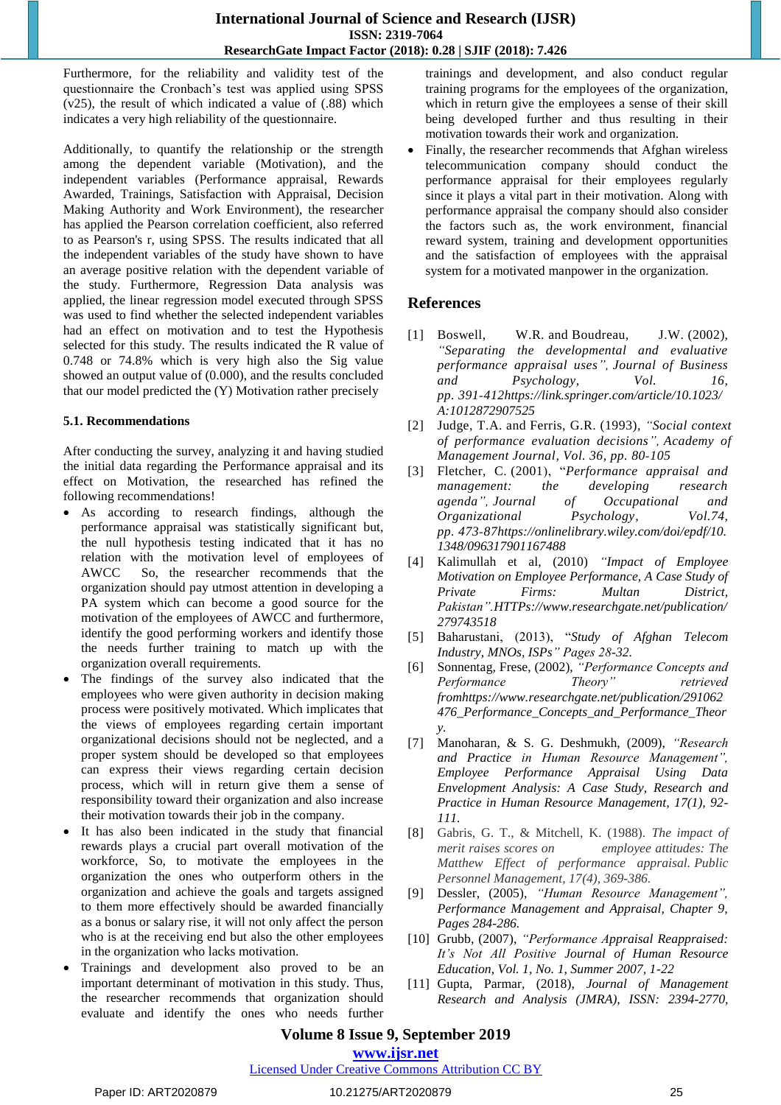Furthermore, for the reliability and validity test of the questionnaire the Cronbach's test was applied using SPSS (v25), the result of which indicated a value of (.88) which indicates a very high reliability of the questionnaire.

Additionally, to quantify the relationship or the strength among the dependent variable (Motivation), and the independent variables (Performance appraisal, Rewards Awarded, Trainings, Satisfaction with Appraisal, Decision Making Authority and Work Environment), the researcher has applied the Pearson correlation coefficient, also referred to as Pearson's r, using SPSS. The results indicated that all the independent variables of the study have shown to have an average positive relation with the dependent variable of the study. Furthermore, Regression Data analysis was applied, the linear regression model executed through SPSS was used to find whether the selected independent variables had an effect on motivation and to test the Hypothesis selected for this study. The results indicated the R value of 0.748 or 74.8% which is very high also the Sig value showed an output value of (0.000), and the results concluded that our model predicted the (Y) Motivation rather precisely

#### **5.1. Recommendations**

After conducting the survey, analyzing it and having studied the initial data regarding the Performance appraisal and its effect on Motivation, the researched has refined the following recommendations!

- As according to research findings, although the performance appraisal was statistically significant but, the null hypothesis testing indicated that it has no relation with the motivation level of employees of AWCC So, the researcher recommends that the organization should pay utmost attention in developing a PA system which can become a good source for the motivation of the employees of AWCC and furthermore, identify the good performing workers and identify those the needs further training to match up with the organization overall requirements.
- The findings of the survey also indicated that the employees who were given authority in decision making process were positively motivated. Which implicates that the views of employees regarding certain important organizational decisions should not be neglected, and a proper system should be developed so that employees can express their views regarding certain decision process, which will in return give them a sense of responsibility toward their organization and also increase their motivation towards their job in the company.
- It has also been indicated in the study that financial rewards plays a crucial part overall motivation of the workforce, So, to motivate the employees in the organization the ones who outperform others in the organization and achieve the goals and targets assigned to them more effectively should be awarded financially as a bonus or salary rise, it will not only affect the person who is at the receiving end but also the other employees in the organization who lacks motivation.
- Trainings and development also proved to be an important determinant of motivation in this study. Thus, the researcher recommends that organization should evaluate and identify the ones who needs further

trainings and development, and also conduct regular training programs for the employees of the organization, which in return give the employees a sense of their skill being developed further and thus resulting in their motivation towards their work and organization.

 Finally, the researcher recommends that Afghan wireless telecommunication company should conduct the performance appraisal for their employees regularly since it plays a vital part in their motivation. Along with performance appraisal the company should also consider the factors such as, the work environment, financial reward system, training and development opportunities and the satisfaction of employees with the appraisal system for a motivated manpower in the organization.

# **References**

- [1] Boswell, W.R. and Boudreau, J.W. (2002), *"Separating the developmental and evaluative performance appraisal uses", Journal of Business and Psychology, Vol. 16, pp. 391‐412https://link.springer.com/article/10.1023/ A:1012872907525*
- [2] Judge, T.A. and Ferris, G.R. (1993), *"Social context of performance evaluation decisions", Academy of Management Journal, Vol. 36, pp. 80‐105*
- [3] Fletcher, C. (2001), "*Performance appraisal and management: the developing research agenda", Journal of Occupational and Organizational Psychology, Vol.74, pp. 473‐87https://onlinelibrary.wiley.com/doi/epdf/10. 1348/096317901167488*
- [4] Kalimullah et al, (2010) *"Impact of Employee Motivation on Employee Performance, A Case Study of Private Firms: Multan District, Pakistan".HTTPs://www.researchgate.net/publication/ 279743518*
- [5] Baharustani, (2013), "*Study of Afghan Telecom Industry, MNOs, ISPs" Pages 28-32.*
- [6] Sonnentag, Frese, (2002), *"Performance Concepts and Performance Theory" retrieved fromhttps://www.researchgate.net/publication/291062 476\_Performance\_Concepts\_and\_Performance\_Theor y.*
- [7] Manoharan, & S. G. Deshmukh, (2009), *"Research and Practice in Human Resource Management", Employee Performance Appraisal Using Data Envelopment Analysis: A Case Study, Research and Practice in Human Resource Management, 17(1), 92- 111.*
- [8] Gabris, G. T., & Mitchell, K. (1988). *The impact of merit raises scores on employee attitudes: The Matthew Effect of performance appraisal. Public Personnel Management, 17(4), 369-386.*
- [9] Dessler, (2005), *"Human Resource Management", Performance Management and Appraisal, Chapter 9, Pages 284-286.*
- [10] Grubb, (2007), *"Performance Appraisal Reappraised: It's Not All Positive Journal of Human Resource Education, Vol. 1, No. 1, Summer 2007, 1-22*
- [11] Gupta, Parmar, (2018), *Journal of Management Research and Analysis (JMRA), ISSN: 2394-2770,*

# **Volume 8 Issue 9, September 2019**

**www.ijsr.net**

Licensed Under Creative Commons Attribution CC BY